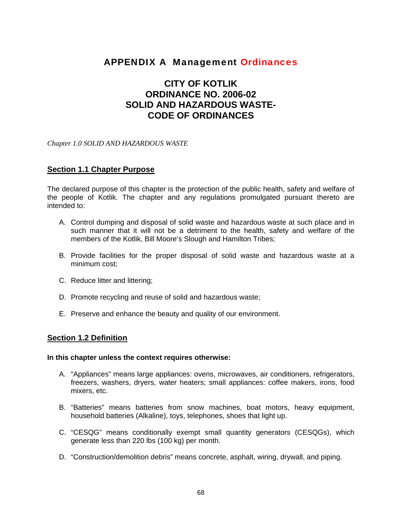# APPENDIX A Management Ordinances

# **CITY OF KOTLIK ORDINANCE NO. 2006-02 SOLID AND HAZARDOUS WASTE-CODE OF ORDINANCES**

*Chapter 1.0 SOLID AND HAZARDOUS WASTE* 

#### **Section 1.1 Chapter Purpose**

The declared purpose of this chapter is the protection of the public health, safety and welfare of the people of Kotlik. The chapter and any regulations promulgated pursuant thereto are intended to:

- A. Control dumping and disposal of solid waste and hazardous waste at such place and in such manner that it will not be a detriment to the health, safety and welfare of the members of the Kotlik, Bill Moore's Slough and Hamilton Tribes;
- B. Provide facilities for the proper disposal of solid waste and hazardous waste at a minimum cost;
- C. Reduce litter and littering;
- D. Promote recycling and reuse of solid and hazardous waste;
- E. Preserve and enhance the beauty and quality of our environment.

#### **Section 1.2 Definition**

#### **In this chapter unless the context requires otherwise:**

- A. "Appliances" means large appliances: ovens, microwaves, air conditioners, refrigerators, freezers, washers, dryers, water heaters; small appliances: coffee makers, irons, food mixers, etc.
- B. "Batteries" means batteries from snow machines, boat motors, heavy equipment, household batteries (Alkaline), toys, telephones, shoes that light up.
- C. "CESQG" means conditionally exempt small quantity generators (CESQGs), which generate less than 220 lbs (100 kg) per month.
- D. "Construction/demolition debris" means concrete, asphalt, wiring, drywall, and piping.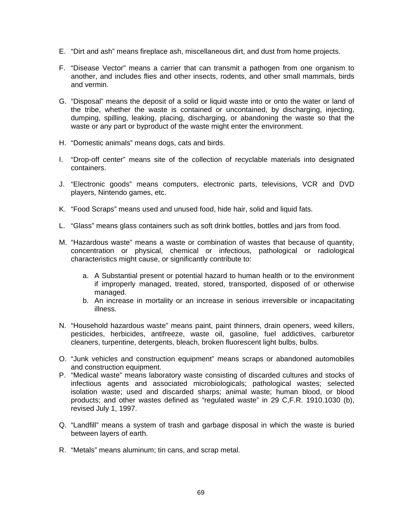- E. "Dirt and ash" means fireplace ash, miscellaneous dirt, and dust from home projects.
- F. "Disease Vector" means a carrier that can transmit a pathogen from one organism to another, and includes flies and other insects, rodents, and other small mammals, birds and vermin.
- G. "Disposal" means the deposit of a solid or liquid waste into or onto the water or land of the tribe, whether the waste is contained or uncontained, by discharging, injecting, dumping, spilling, leaking, placing, discharging, or abandoning the waste so that the waste or any part or byproduct of the waste might enter the environment.
- H. "Domestic animals" means dogs, cats and birds.
- I. "Drop-off center" means site of the collection of recyclable materials into designated containers.
- J. "Electronic goods" means computers, electronic parts, televisions, VCR and DVD players, Nintendo games, etc.
- K. "Food Scraps" means used and unused food, hide hair, solid and liquid fats.
- L. "Glass" means glass containers such as soft drink bottles, bottles and jars from food.
- M. "Hazardous waste" means a waste or combination of wastes that because of quantity, concentration or physical, chemical or infectious, pathological or radiological characteristics might cause, or significantly contribute to:
	- a. A Substantial present or potential hazard to human health or to the environment if improperly managed, treated, stored, transported, disposed of or otherwise managed.
	- b. An increase in mortality or an increase in serious irreversible or incapacitating illness.
- N. "Household hazardous waste" means paint, paint thinners, drain openers, weed killers, pesticides, herbicides, antifreeze, waste oil, gasoline, fuel addictives, carburetor cleaners, turpentine, detergents, bleach, broken fluorescent light bulbs, bulbs.
- O. "Junk vehicles and construction equipment" means scraps or abandoned automobiles and construction equipment.
- P. "Medical waste" means laboratory waste consisting of discarded cultures and stocks of infectious agents and associated microbiologicals; pathological wastes; selected isolation waste; used and discarded sharps; animal waste; human blood, or blood products; and other wastes defined as "regulated waste" in 29 C,F.R. 1910.1030 (b), revised July 1, 1997.
- Q. "Landfill" means a system of trash and garbage disposal in which the waste is buried between layers of earth.
- R. "Metals" means aluminum; tin cans, and scrap metal.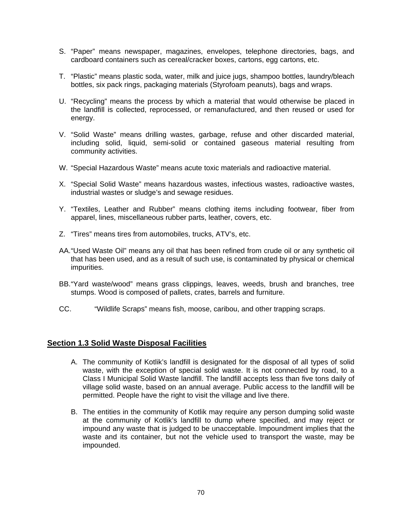- S. "Paper" means newspaper, magazines, envelopes, telephone directories, bags, and cardboard containers such as cereal/cracker boxes, cartons, egg cartons, etc.
- T. "Plastic" means plastic soda, water, milk and juice jugs, shampoo bottles, laundry/bleach bottles, six pack rings, packaging materials (Styrofoam peanuts), bags and wraps.
- U. "Recycling" means the process by which a material that would otherwise be placed in the landfill is collected, reprocessed, or remanufactured, and then reused or used for energy.
- V. "Solid Waste" means drilling wastes, garbage, refuse and other discarded material, including solid, liquid, semi-solid or contained gaseous material resulting from community activities.
- W. "Special Hazardous Waste" means acute toxic materials and radioactive material.
- X. "Special Solid Waste" means hazardous wastes, infectious wastes, radioactive wastes, industrial wastes or sludge's and sewage residues.
- Y. "Textiles, Leather and Rubber" means clothing items including footwear, fiber from apparel, lines, miscellaneous rubber parts, leather, covers, etc.
- Z. "Tires" means tires from automobiles, trucks, ATV's, etc.
- AA. "Used Waste Oil" means any oil that has been refined from crude oil or any synthetic oil that has been used, and as a result of such use, is contaminated by physical or chemical impurities.
- BB. "Yard waste/wood" means grass clippings, leaves, weeds, brush and branches, tree stumps. Wood is composed of pallets, crates, barrels and furniture.
- CC. "Wildlife Scraps" means fish, moose, caribou, and other trapping scraps.

#### **Section 1.3 Solid Waste Disposal Facilities**

- A. The community of Kotlik's landfill is designated for the disposal of all types of solid waste, with the exception of special solid waste. It is not connected by road, to a Class I Municipal Solid Waste landfill. The landfill accepts less than five tons daily of village solid waste, based on an annual average. Public access to the landfill will be permitted. People have the right to visit the village and live there.
- B. The entities in the community of Kotlik may require any person dumping solid waste at the community of Kotlik's landfill to dump where specified, and may reject or impound any waste that is judged to be unacceptable. Impoundment implies that the waste and its container, but not the vehicle used to transport the waste, may be impounded.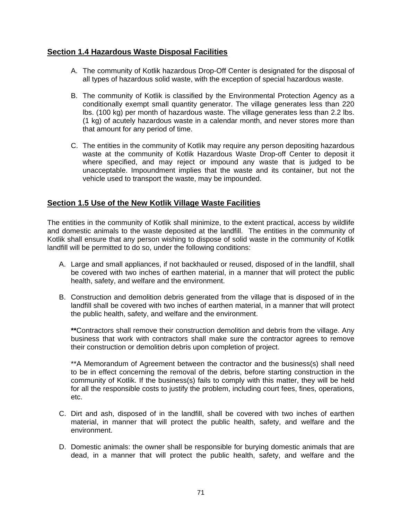## **Section 1.4 Hazardous Waste Disposal Facilities**

- A. The community of Kotlik hazardous Drop-Off Center is designated for the disposal of all types of hazardous solid waste, with the exception of special hazardous waste.
- B. The community of Kotlik is classified by the Environmental Protection Agency as a conditionally exempt small quantity generator. The village generates less than 220 lbs. (100 kg) per month of hazardous waste. The village generates less than 2.2 lbs. (1 kg) of acutely hazardous waste in a calendar month, and never stores more than that amount for any period of time.
- C. The entities in the community of Kotlik may require any person depositing hazardous waste at the community of Kotlik Hazardous Waste Drop-off Center to deposit it where specified, and may reject or impound any waste that is judged to be unacceptable. Impoundment implies that the waste and its container, but not the vehicle used to transport the waste, may be impounded.

### **Section 1.5 Use of the New Kotlik Village Waste Facilities**

The entities in the community of Kotlik shall minimize, to the extent practical, access by wildlife and domestic animals to the waste deposited at the landfill. The entities in the community of Kotlik shall ensure that any person wishing to dispose of solid waste in the community of Kotlik landfill will be permitted to do so, under the following conditions:

- A. Large and small appliances, if not backhauled or reused, disposed of in the landfill, shall be covered with two inches of earthen material, in a manner that will protect the public health, safety, and welfare and the environment.
- B. Construction and demolition debris generated from the village that is disposed of in the landfill shall be covered with two inches of earthen material, in a manner that will protect the public health, safety, and welfare and the environment.

**\*\***Contractors shall remove their construction demolition and debris from the village. Any business that work with contractors shall make sure the contractor agrees to remove their construction or demolition debris upon completion of project.

\*\*A Memorandum of Agreement between the contractor and the business(s) shall need to be in effect concerning the removal of the debris, before starting construction in the community of Kotlik. If the business(s) fails to comply with this matter, they will be held for all the responsible costs to justify the problem, including court fees, fines, operations, etc.

- C. Dirt and ash, disposed of in the landfill, shall be covered with two inches of earthen material, in manner that will protect the public health, safety, and welfare and the environment.
- D. Domestic animals: the owner shall be responsible for burying domestic animals that are dead, in a manner that will protect the public health, safety, and welfare and the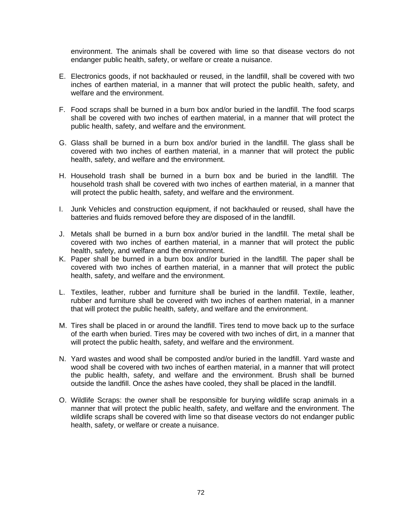environment. The animals shall be covered with lime so that disease vectors do not endanger public health, safety, or welfare or create a nuisance.

- E. Electronics goods, if not backhauled or reused, in the landfill, shall be covered with two inches of earthen material, in a manner that will protect the public health, safety, and welfare and the environment.
- F. Food scraps shall be burned in a burn box and/or buried in the landfill. The food scarps shall be covered with two inches of earthen material, in a manner that will protect the public health, safety, and welfare and the environment.
- G. Glass shall be burned in a burn box and/or buried in the landfill. The glass shall be covered with two inches of earthen material, in a manner that will protect the public health, safety, and welfare and the environment.
- H. Household trash shall be burned in a burn box and be buried in the landfill. The household trash shall be covered with two inches of earthen material, in a manner that will protect the public health, safety, and welfare and the environment.
- I. Junk Vehicles and construction equipment, if not backhauled or reused, shall have the batteries and fluids removed before they are disposed of in the landfill.
- J. Metals shall be burned in a burn box and/or buried in the landfill. The metal shall be covered with two inches of earthen material, in a manner that will protect the public health, safety, and welfare and the environment.
- K. Paper shall be burned in a burn box and/or buried in the landfill. The paper shall be covered with two inches of earthen material, in a manner that will protect the public health, safety, and welfare and the environment.
- L. Textiles, leather, rubber and furniture shall be buried in the landfill. Textile, leather, rubber and furniture shall be covered with two inches of earthen material, in a manner that will protect the public health, safety, and welfare and the environment.
- M. Tires shall be placed in or around the landfill. Tires tend to move back up to the surface of the earth when buried. Tires may be covered with two inches of dirt, in a manner that will protect the public health, safety, and welfare and the environment.
- N. Yard wastes and wood shall be composted and/or buried in the landfill. Yard waste and wood shall be covered with two inches of earthen material, in a manner that will protect the public health, safety, and welfare and the environment. Brush shall be burned outside the landfill. Once the ashes have cooled, they shall be placed in the landfill.
- O. Wildlife Scraps: the owner shall be responsible for burying wildlife scrap animals in a manner that will protect the public health, safety, and welfare and the environment. The wildlife scraps shall be covered with lime so that disease vectors do not endanger public health, safety, or welfare or create a nuisance.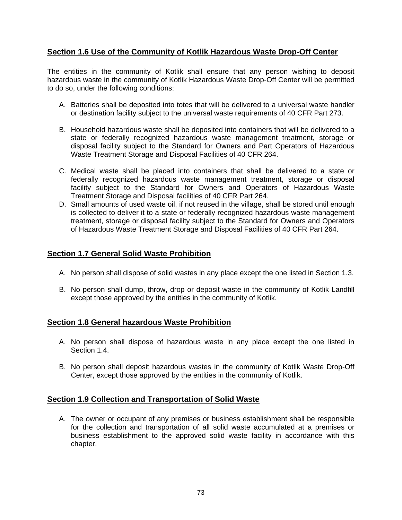## **Section 1.6 Use of the Community of Kotlik Hazardous Waste Drop-Off Center**

The entities in the community of Kotlik shall ensure that any person wishing to deposit hazardous waste in the community of Kotlik Hazardous Waste Drop-Off Center will be permitted to do so, under the following conditions:

- A. Batteries shall be deposited into totes that will be delivered to a universal waste handler or destination facility subject to the universal waste requirements of 40 CFR Part 273.
- B. Household hazardous waste shall be deposited into containers that will be delivered to a state or federally recognized hazardous waste management treatment, storage or disposal facility subject to the Standard for Owners and Part Operators of Hazardous Waste Treatment Storage and Disposal Facilities of 40 CFR 264.
- C. Medical waste shall be placed into containers that shall be delivered to a state or federally recognized hazardous waste management treatment, storage or disposal facility subject to the Standard for Owners and Operators of Hazardous Waste Treatment Storage and Disposal facilities of 40 CFR Part 264.
- D. Small amounts of used waste oil, if not reused in the village, shall be stored until enough is collected to deliver it to a state or federally recognized hazardous waste management treatment, storage or disposal facility subject to the Standard for Owners and Operators of Hazardous Waste Treatment Storage and Disposal Facilities of 40 CFR Part 264.

### **Section 1.7 General Solid Waste Prohibition**

- A. No person shall dispose of solid wastes in any place except the one listed in Section 1.3.
- B. No person shall dump, throw, drop or deposit waste in the community of Kotlik Landfill except those approved by the entities in the community of Kotlik.

### **Section 1.8 General hazardous Waste Prohibition**

- A. No person shall dispose of hazardous waste in any place except the one listed in Section 1.4.
- B. No person shall deposit hazardous wastes in the community of Kotlik Waste Drop-Off Center, except those approved by the entities in the community of Kotlik.

### **Section 1.9 Collection and Transportation of Solid Waste**

A. The owner or occupant of any premises or business establishment shall be responsible for the collection and transportation of all solid waste accumulated at a premises or business establishment to the approved solid waste facility in accordance with this chapter.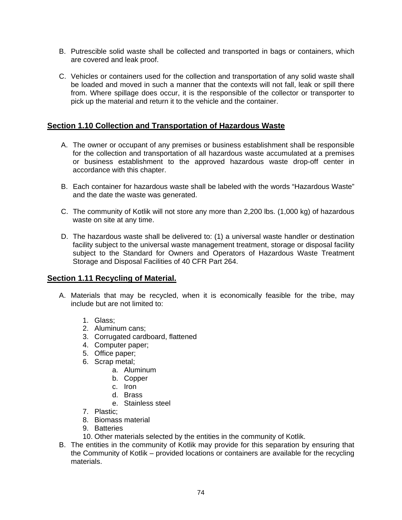- B. Putrescible solid waste shall be collected and transported in bags or containers, which are covered and leak proof.
- C. Vehicles or containers used for the collection and transportation of any solid waste shall be loaded and moved in such a manner that the contexts will not fall, leak or spill there from. Where spillage does occur, it is the responsible of the collector or transporter to pick up the material and return it to the vehicle and the container.

#### **Section 1.10 Collection and Transportation of Hazardous Waste**

- A. The owner or occupant of any premises or business establishment shall be responsible for the collection and transportation of all hazardous waste accumulated at a premises or business establishment to the approved hazardous waste drop-off center in accordance with this chapter.
- B. Each container for hazardous waste shall be labeled with the words "Hazardous Waste" and the date the waste was generated.
- C. The community of Kotlik will not store any more than 2,200 lbs. (1,000 kg) of hazardous waste on site at any time.
- D. The hazardous waste shall be delivered to: (1) a universal waste handler or destination facility subject to the universal waste management treatment, storage or disposal facility subject to the Standard for Owners and Operators of Hazardous Waste Treatment Storage and Disposal Facilities of 40 CFR Part 264.

#### **Section 1.11 Recycling of Material.**

- A. Materials that may be recycled, when it is economically feasible for the tribe, may include but are not limited to:
	- 1. Glass;
	- 2. Aluminum cans;
	- 3. Corrugated cardboard, flattened
	- 4. Computer paper;
	- 5. Office paper;
	- 6. Scrap metal;
		- a. Aluminum
		- b. Copper
		- c. Iron
		- d. Brass
		- e. Stainless steel
	- 7. Plastic;
	- 8. Biomass material
	- 9. Batteries
	- 10. Other materials selected by the entities in the community of Kotlik.
- B. The entities in the community of Kotlik may provide for this separation by ensuring that the Community of Kotlik – provided locations or containers are available for the recycling materials.